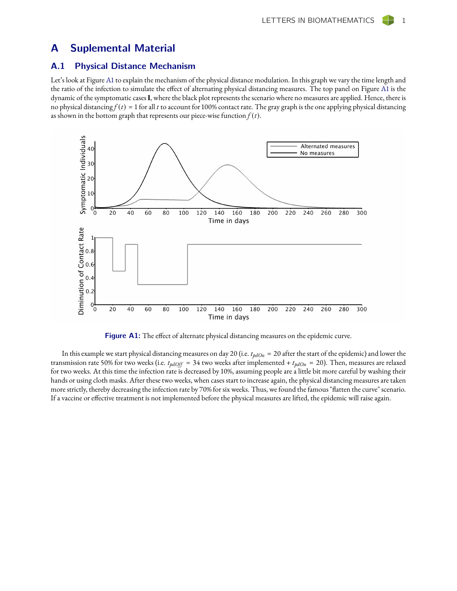## A Suplemental Material

## A.1 Physical Distance Mechanism

Let's look at Figure [A1](#page-0-0) to explain the mechanism of the physical distance modulation. In this graph we vary the time length and the ratio of the infection to simulate the effect of alternating physical distancing measures. The top panel on Figure [A1](#page-0-0) is the dynamic of the symptomatic cases**I**, where the black plot represents the scenario where no measures are applied. Hence, there is no physical distancing  $f(t) = 1$  for all *t* to account for 100% contact rate. The gray graph is the one applying physical distancing as shown in the bottom graph that represents our piece-wise function  $f(t)$ .



<span id="page-0-0"></span>Figure A1: The effect of alternate physical distancing measures on the epidemic curve.

In this example we start physical distancing measures on day 20 (i.e.  $t_{pdOn} = 20$  after the start of the epidemic) and lower the transmission rate 50% for two weeks (i.e.  $t_{pdOff} = 34$  two weeks after implemented +  $t_{pdOn} = 20$ ). Then, measures are relaxed for two weeks. At this time the infection rate is decreased by 10%, assuming people are a little bit more careful by washing their hands or using cloth masks. After these two weeks, when cases start to increase again, the physical distancing measures are taken more strictly, thereby decreasing the infection rate by 70% for six weeks. Thus, we found the famous "flatten the curve" scenario. If a vaccine or effective treatment is not implemented before the physical measures are lifted, the epidemic will raise again.